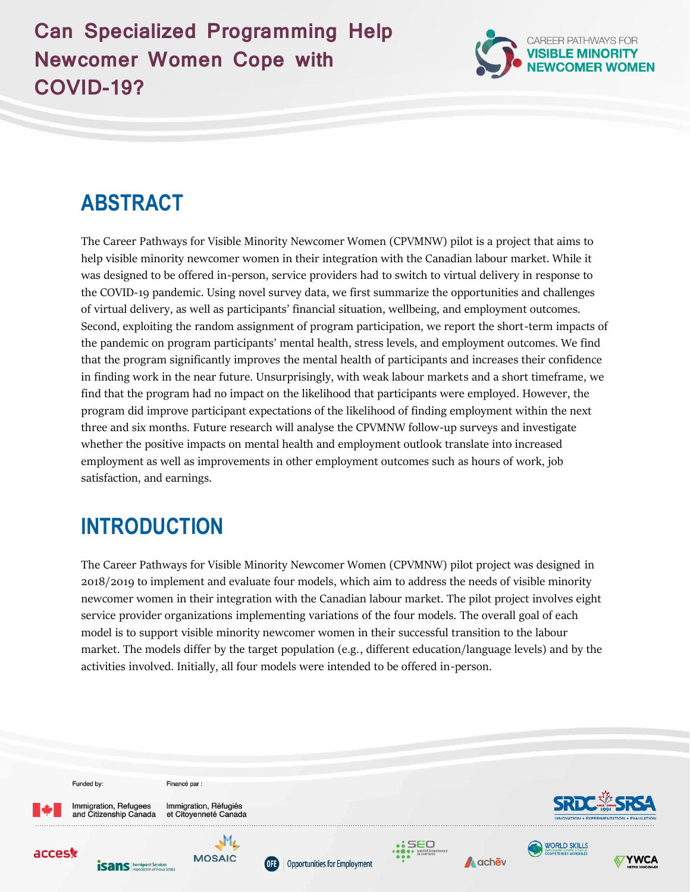## **Can Specialized Programming Help Newcomer Women Cope with COVID-19?**



# **ABSTRACT**

The Career Pathways for Visible Minority Newcomer Women (CPVMNW) pilot is a project that aims to help visible minority newcomer women in their integration with the Canadian labour market. While it was designed to be offered in-person, service providers had to switch to virtual delivery in response to the COVID-19 pandemic. Using novel survey data, we first summarize the opportunities and challenges of virtual delivery, as well as participants' financial situation, wellbeing, and employment outcomes. Second, exploiting the random assignment of program participation, we report the short-term impacts of the pandemic on program participants' mental health, stress levels, and employment outcomes. We find that the program significantly improves the mental health of participants and increases their confidence in finding work in the near future. Unsurprisingly, with weak labour markets and a short timeframe, we find that the program had no impact on the likelihood that participants were employed. However, the program did improve participant expectations of the likelihood of finding employment within the next three and six months. Future research will analyse the CPVMNW follow-up surveys and investigate whether the positive impacts on mental health and employment outlook translate into increased employment as well as improvements in other employment outcomes such as hours of work, job satisfaction, and earnings.

# **INTRODUCTION**

The Career Pathways for Visible Minority Newcomer Women (CPVMNW) pilot project was designed in 2018/2019 to implement and evaluate four models, which aim to address the needs of visible minority newcomer women in their integration with the Canadian labour market. The pilot project involves eight service provider organizations implementing variations of the four models. The overall goal of each model is to support visible minority newcomer women in their successful transition to the labour market. The models differ by the target population (e.g., different education/language levels) and by the activities involved. Initially, all four models were intended to be offered in-person.

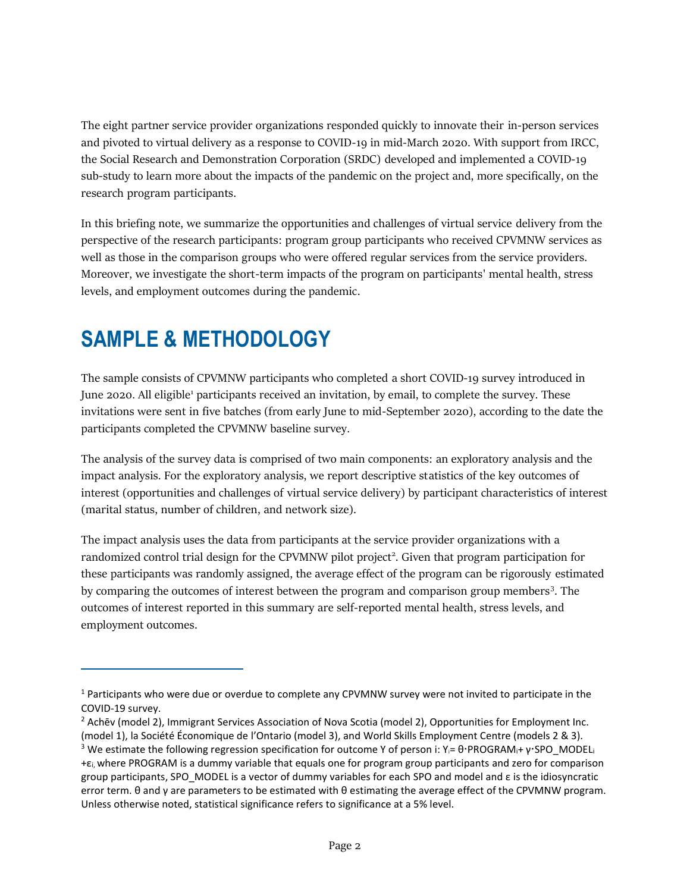The eight partner service provider organizations responded quickly to innovate their in-person services and pivoted to virtual delivery as a response to COVID-19 in mid-March 2020. With support from IRCC, the Social Research and Demonstration Corporation (SRDC) developed and implemented a COVID-19 sub-study to learn more about the impacts of the pandemic on the project and, more specifically, on the research program participants.

In this briefing note, we summarize the opportunities and challenges of virtual service delivery from the perspective of the research participants: program group participants who received CPVMNW services as well as those in the comparison groups who were offered regular services from the service providers. Moreover, we investigate the short-term impacts of the program on participants' mental health, stress levels, and employment outcomes during the pandemic.

# **SAMPLE & METHODOLOGY**

The sample consists of CPVMNW participants who completed a short COVID-19 survey introduced in June 2020. All eligible<sup>1</sup> participants received an invitation, by email, to complete the survey. These invitations were sent in five batches (from early June to mid-September 2020), according to the date the participants completed the CPVMNW baseline survey.

The analysis of the survey data is comprised of two main components: an exploratory analysis and the impact analysis. For the exploratory analysis, we report descriptive statistics of the key outcomes of interest (opportunities and challenges of virtual service delivery) by participant characteristics of interest (marital status, number of children, and network size).

The impact analysis uses the data from participants at the service provider organizations with a randomized control trial design for the CPVMNW pilot project<sup>2</sup>. Given that program participation for these participants was randomly assigned, the average effect of the program can be rigorously estimated by comparing the outcomes of interest between the program and comparison group members<sup>3</sup>. The outcomes of interest reported in this summary are self-reported mental health, stress levels, and employment outcomes.

 $1$  Participants who were due or overdue to complete any CPVMNW survey were not invited to participate in the COVID-19 survey.

<sup>2</sup> Achēv (model 2), Immigrant Services Association of Nova Scotia (model 2), Opportunities for Employment Inc. (model 1), la Société Économique de l'Ontario (model 3), and World Skills Employment Centre (models 2 & 3).

<sup>&</sup>lt;sup>3</sup> We estimate the following regression specification for outcome Y of person i: Y<sub>i</sub>= θ·PROGRAM<sub>i</sub>+ γ·SPO\_MODEL<sub>i</sub> +εi, where PROGRAM is a dummy variable that equals one for program group participants and zero for comparison group participants, SPO\_MODEL is a vector of dummy variables for each SPO and model and ε is the idiosyncratic error term. θ and γ are parameters to be estimated with θ estimating the average effect of the CPVMNW program. Unless otherwise noted, statistical significance refers to significance at a 5% level.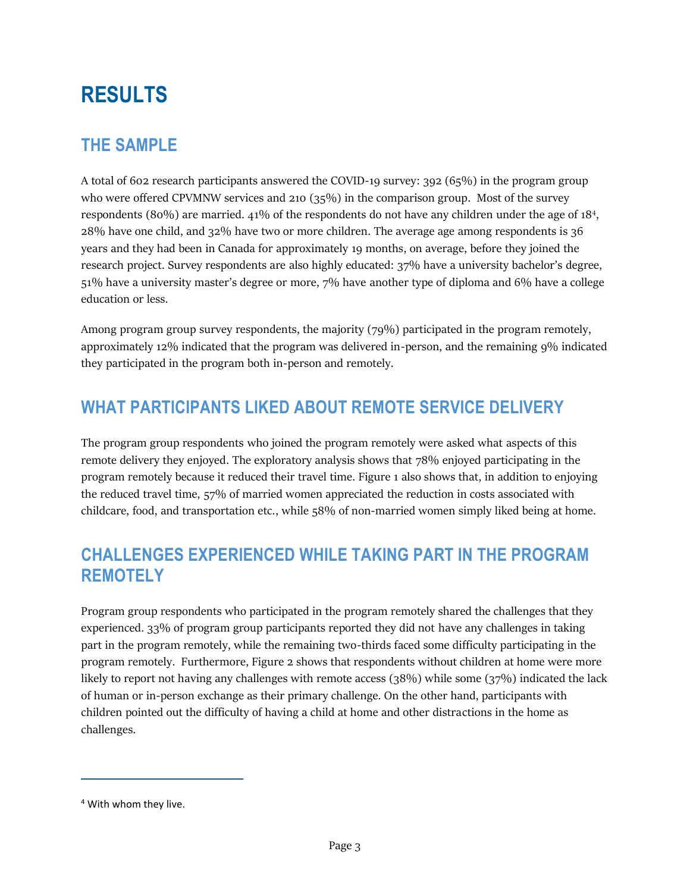# **RESULTS**

## **THE SAMPLE**

A total of 602 research participants answered the COVID-19 survey: 392 (65%) in the program group who were offered CPVMNW services and 210 (35%) in the comparison group. Most of the survey respondents (80%) are married. 41% of the respondents do not have any children under the age of 18<sup>4</sup>, 28% have one child, and 32% have two or more children. The average age among respondents is 36 years and they had been in Canada for approximately 19 months, on average, before they joined the research project. Survey respondents are also highly educated: 37% have a university bachelor's degree, 51% have a university master's degree or more, 7% have another type of diploma and 6% have a college education or less.

Among program group survey respondents, the majority (79%) participated in the program remotely, approximately 12% indicated that the program was delivered in-person, and the remaining 9% indicated they participated in the program both in-person and remotely.

## **WHAT PARTICIPANTS LIKED ABOUT REMOTE SERVICE DELIVERY**

The program group respondents who joined the program remotely were asked what aspects of this remote delivery they enjoyed. The exploratory analysis shows that 78% enjoyed participating in the program remotely because it reduced their travel time. Figure 1 also shows that, in addition to enjoying the reduced travel time, 57% of married women appreciated the reduction in costs associated with childcare, food, and transportation etc., while 58% of non-married women simply liked being at home.

## **CHALLENGES EXPERIENCED WHILE TAKING PART IN THE PROGRAM REMOTELY**

Program group respondents who participated in the program remotely shared the challenges that they experienced. 33% of program group participants reported they did not have any challenges in taking part in the program remotely, while the remaining two-thirds faced some difficulty participating in the program remotely. Furthermore, Figure 2 shows that respondents without children at home were more likely to report not having any challenges with remote access  $(38%)$  while some  $(37%)$  indicated the lack of human or in-person exchange as their primary challenge. On the other hand, participants with children pointed out the difficulty of having a child at home and other distractions in the home as challenges.

<sup>4</sup> With whom they live.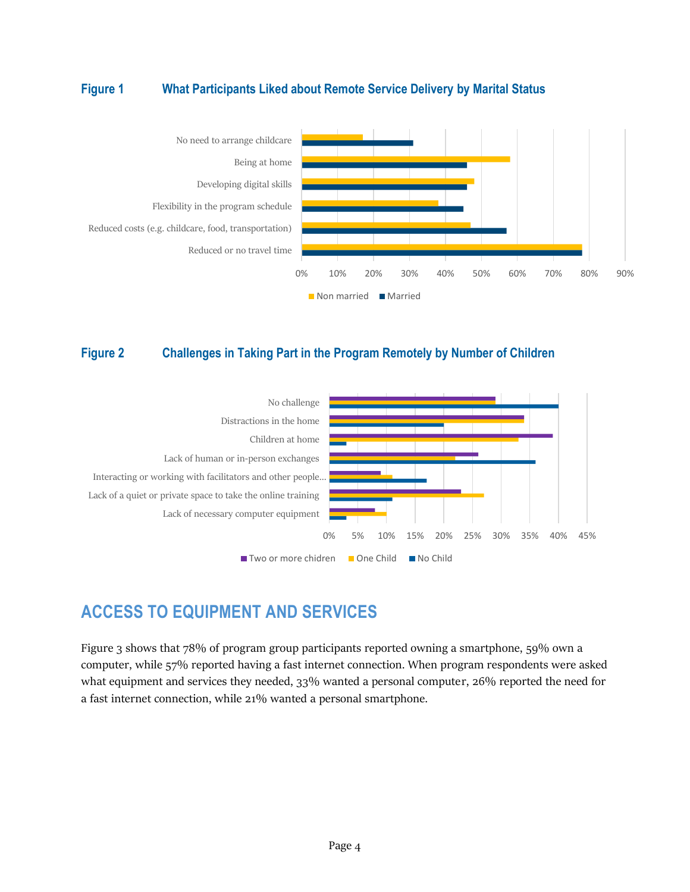### **Figure 1 What Participants Liked about Remote Service Delivery by Marital Status**



#### **Figure 2 Challenges in Taking Part in the Program Remotely by Number of Children**



### **ACCESS TO EQUIPMENT AND SERVICES**

Figure 3 shows that 78% of program group participants reported owning a smartphone, 59% own a computer, while 57% reported having a fast internet connection. When program respondents were asked what equipment and services they needed, 33% wanted a personal computer, 26% reported the need for a fast internet connection, while 21% wanted a personal smartphone.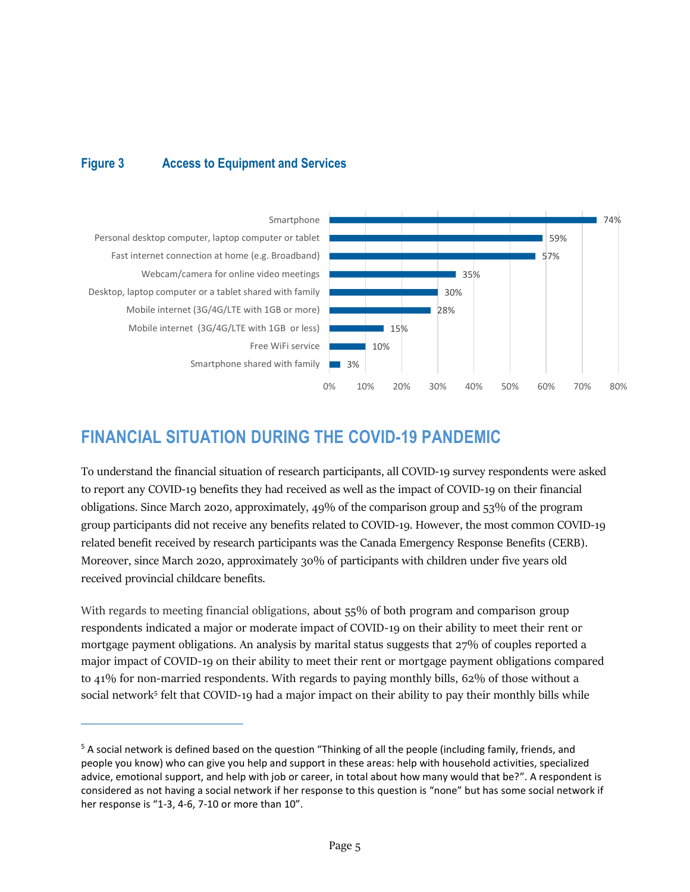### **Figure 3 Access to Equipment and Services**



## **FINANCIAL SITUATION DURING THE COVID-19 PANDEMIC**

To understand the financial situation of research participants, all COVID-19 survey respondents were asked to report any COVID-19 benefits they had received as well as the impact of COVID-19 on their financial obligations. Since March 2020, approximately, 49% of the comparison group and 53% of the program group participants did not receive any benefits related to COVID-19. However, the most common COVID-19 related benefit received by research participants was the Canada Emergency Response Benefits (CERB). Moreover, since March 2020, approximately 30% of participants with children under five years old received provincial childcare benefits.

With regards to meeting financial obligations, about 55% of both program and comparison group respondents indicated a major or moderate impact of COVID-19 on their ability to meet their rent or mortgage payment obligations. An analysis by marital status suggests that 27% of couples reported a major impact of COVID-19 on their ability to meet their rent or mortgage payment obligations compared to 41% for non-married respondents. With regards to paying monthly bills, 62% of those without a social network<sup>5</sup> felt that COVID-19 had a major impact on their ability to pay their monthly bills while

<sup>&</sup>lt;sup>5</sup> A social network is defined based on the question "Thinking of all the people (including family, friends, and people you know) who can give you help and support in these areas: help with household activities, specialized advice, emotional support, and help with job or career, in total about how many would that be?". A respondent is considered as not having a social network if her response to this question is "none" but has some social network if her response is "1-3, 4-6, 7-10 or more than 10".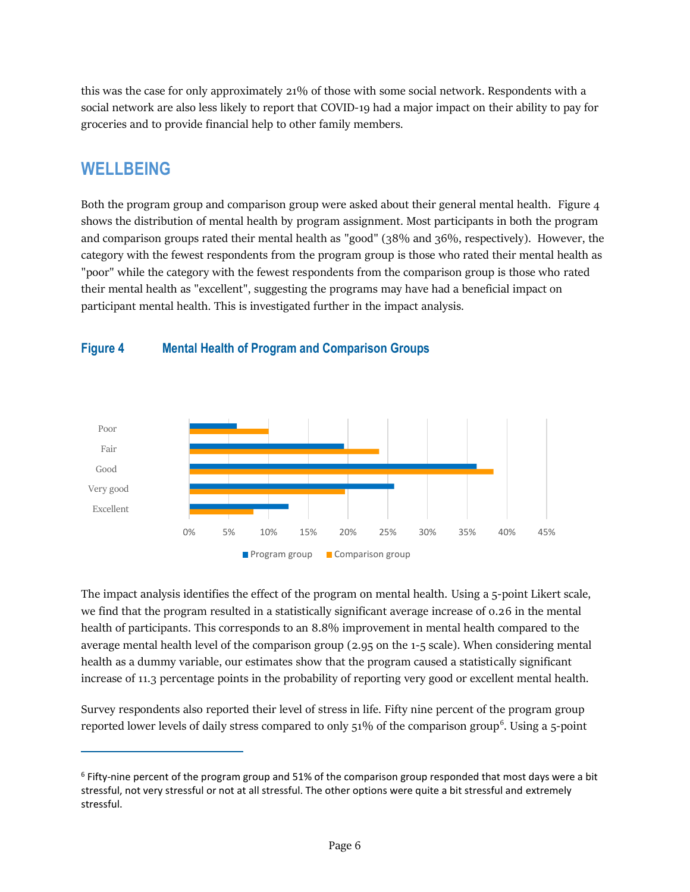this was the case for only approximately 21% of those with some social network. Respondents with a social network are also less likely to report that COVID-19 had a major impact on their ability to pay for groceries and to provide financial help to other family members.

### **WELLBEING**

Both the program group and comparison group were asked about their general mental health. Figure 4 shows the distribution of mental health by program assignment. Most participants in both the program and comparison groups rated their mental health as "good" (38% and 36%, respectively). However, the category with the fewest respondents from the program group is those who rated their mental health as "poor" while the category with the fewest respondents from the comparison group is those who rated their mental health as "excellent", suggesting the programs may have had a beneficial impact on participant mental health. This is investigated further in the impact analysis.



#### **Figure 4 Mental Health of Program and Comparison Groups**

The impact analysis identifies the effect of the program on mental health. Using a 5-point Likert scale, we find that the program resulted in a statistically significant average increase of 0.26 in the mental health of participants. This corresponds to an 8.8% improvement in mental health compared to the average mental health level of the comparison group (2.95 on the 1-5 scale). When considering mental health as a dummy variable, our estimates show that the program caused a statistically significant increase of 11.3 percentage points in the probability of reporting very good or excellent mental health.

Survey respondents also reported their level of stress in life. Fifty nine percent of the program group reported lower levels of daily stress compared to only 51% of the comparison group<sup>6</sup>. Using a 5-point

<sup>6</sup> Fifty-nine percent of the program group and 51% of the comparison group responded that most days were a bit stressful, not very stressful or not at all stressful. The other options were quite a bit stressful and extremely stressful.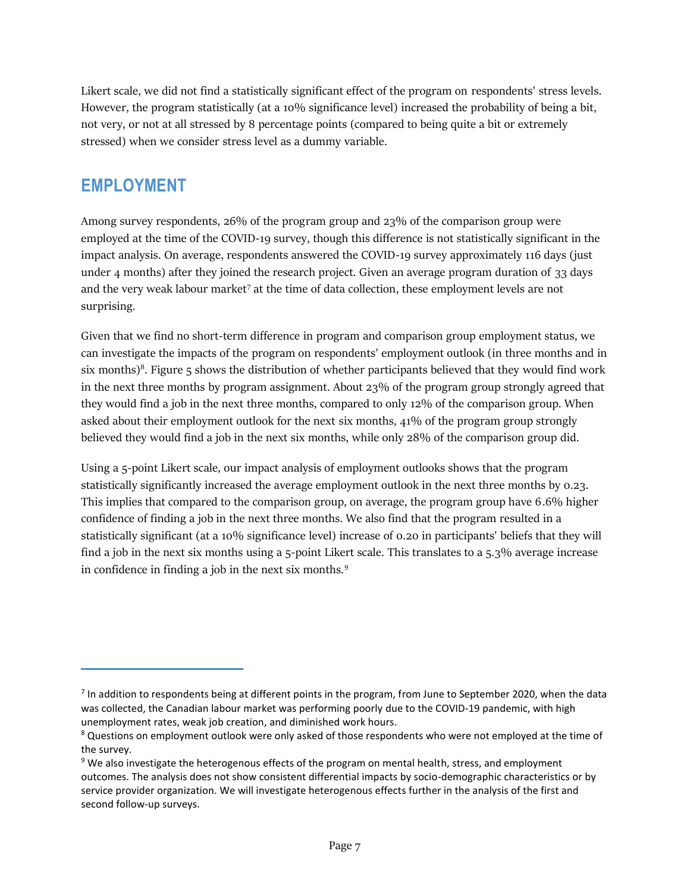Likert scale, we did not find a statistically significant effect of the program on respondents' stress levels. However, the program statistically (at a 10% significance level) increased the probability of being a bit, not very, or not at all stressed by 8 percentage points (compared to being quite a bit or extremely stressed) when we consider stress level as a dummy variable.

### **EMPLOYMENT**

Among survey respondents, 26% of the program group and 23% of the comparison group were employed at the time of the COVID-19 survey, though this difference is not statistically significant in the impact analysis. On average, respondents answered the COVID-19 survey approximately 116 days (just under 4 months) after they joined the research project. Given an average program duration of 33 days and the very weak labour market<sup>7</sup> at the time of data collection, these employment levels are not surprising.

Given that we find no short-term difference in program and comparison group employment status, we can investigate the impacts of the program on respondents' employment outlook (in three months and in six months)<sup>8</sup>. Figure 5 shows the distribution of whether participants believed that they would find work in the next three months by program assignment. About 23% of the program group strongly agreed that they would find a job in the next three months, compared to only 12% of the comparison group. When asked about their employment outlook for the next six months, 41% of the program group strongly believed they would find a job in the next six months, while only 28% of the comparison group did.

Using a 5-point Likert scale, our impact analysis of employment outlooks shows that the program statistically significantly increased the average employment outlook in the next three months by 0.23. This implies that compared to the comparison group, on average, the program group have 6.6% higher confidence of finding a job in the next three months. We also find that the program resulted in a statistically significant (at a 10% significance level) increase of 0.20 in participants' beliefs that they will find a job in the next six months using a 5-point Likert scale. This translates to a 5.3% average increase in confidence in finding a job in the next six months.<sup>9</sup>

 $^7$  In addition to respondents being at different points in the program, from June to September 2020, when the data was collected, the Canadian labour market was performing poorly due to the COVID-19 pandemic, with high unemployment rates, weak job creation, and diminished work hours.

<sup>&</sup>lt;sup>8</sup> Questions on employment outlook were only asked of those respondents who were not employed at the time of the survey.

<sup>&</sup>lt;sup>9</sup> We also investigate the heterogenous effects of the program on mental health, stress, and employment outcomes. The analysis does not show consistent differential impacts by socio-demographic characteristics or by service provider organization. We will investigate heterogenous effects further in the analysis of the first and second follow-up surveys.